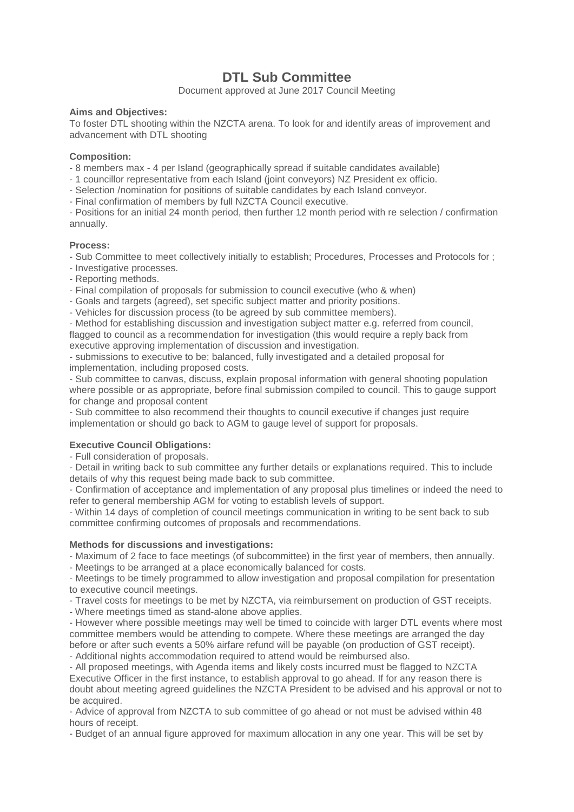# **DTL Sub Committee**

Document approved at June 2017 Council Meeting

## **Aims and Objectives:**

To foster DTL shooting within the NZCTA arena. To look for and identify areas of improvement and advancement with DTL shooting

### **Composition:**

- 8 members max - 4 per Island (geographically spread if suitable candidates available)

- 1 councillor representative from each Island (joint conveyors) NZ President ex officio.

- Selection /nomination for positions of suitable candidates by each Island conveyor.

- Final confirmation of members by full NZCTA Council executive.

- Positions for an initial 24 month period, then further 12 month period with re selection / confirmation annually.

## **Process:**

- Sub Committee to meet collectively initially to establish; Procedures, Processes and Protocols for ;

- Investigative processes.
- Reporting methods.

- Final compilation of proposals for submission to council executive (who & when)

- Goals and targets (agreed), set specific subject matter and priority positions.

- Vehicles for discussion process (to be agreed by sub committee members).

- Method for establishing discussion and investigation subject matter e.g. referred from council, flagged to council as a recommendation for investigation (this would require a reply back from executive approving implementation of discussion and investigation.

- submissions to executive to be; balanced, fully investigated and a detailed proposal for implementation, including proposed costs.

- Sub committee to canvas, discuss, explain proposal information with general shooting population where possible or as appropriate, before final submission compiled to council. This to gauge support for change and proposal content

- Sub committee to also recommend their thoughts to council executive if changes just require implementation or should go back to AGM to gauge level of support for proposals.

## **Executive Council Obligations:**

- Full consideration of proposals.

- Detail in writing back to sub committee any further details or explanations required. This to include details of why this request being made back to sub committee.

- Confirmation of acceptance and implementation of any proposal plus timelines or indeed the need to refer to general membership AGM for voting to establish levels of support.

- Within 14 days of completion of council meetings communication in writing to be sent back to sub committee confirming outcomes of proposals and recommendations.

## **Methods for discussions and investigations:**

- Maximum of 2 face to face meetings (of subcommittee) in the first year of members, then annually.

- Meetings to be arranged at a place economically balanced for costs.

- Meetings to be timely programmed to allow investigation and proposal compilation for presentation to executive council meetings.

- Travel costs for meetings to be met by NZCTA, via reimbursement on production of GST receipts.

- Where meetings timed as stand-alone above applies.

- However where possible meetings may well be timed to coincide with larger DTL events where most committee members would be attending to compete. Where these meetings are arranged the day before or after such events a 50% airfare refund will be payable (on production of GST receipt). - Additional nights accommodation required to attend would be reimbursed also.

- All proposed meetings, with Agenda items and likely costs incurred must be flagged to NZCTA Executive Officer in the first instance, to establish approval to go ahead. If for any reason there is doubt about meeting agreed guidelines the NZCTA President to be advised and his approval or not to be acquired.

- Advice of approval from NZCTA to sub committee of go ahead or not must be advised within 48 hours of receipt.

- Budget of an annual figure approved for maximum allocation in any one year. This will be set by